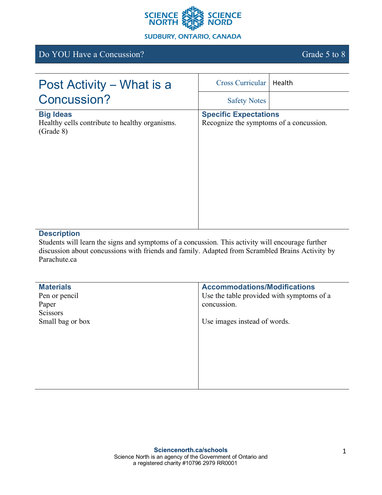

# Do YOU Have a Concussion? Grade 5 to 8

| Post Activity – What is a                                                       | <b>Cross Curricular</b>                                                 | Health |
|---------------------------------------------------------------------------------|-------------------------------------------------------------------------|--------|
| Concussion?                                                                     | <b>Safety Notes</b>                                                     |        |
| <b>Big Ideas</b><br>Healthy cells contribute to healthy organisms.<br>(Grade 8) | <b>Specific Expectations</b><br>Recognize the symptoms of a concussion. |        |

## **Description**

Students will learn the signs and symptoms of a concussion. This activity will encourage further discussion about concussions with friends and family. Adapted from Scrambled Brains Activity by Parachute.ca

| <b>Materials</b> | <b>Accommodations/Modifications</b>       |
|------------------|-------------------------------------------|
| Pen or pencil    | Use the table provided with symptoms of a |
| Paper            | concussion.                               |
| <b>Scissors</b>  |                                           |
| Small bag or box | Use images instead of words.              |
|                  |                                           |
|                  |                                           |
|                  |                                           |
|                  |                                           |
|                  |                                           |
|                  |                                           |
|                  |                                           |